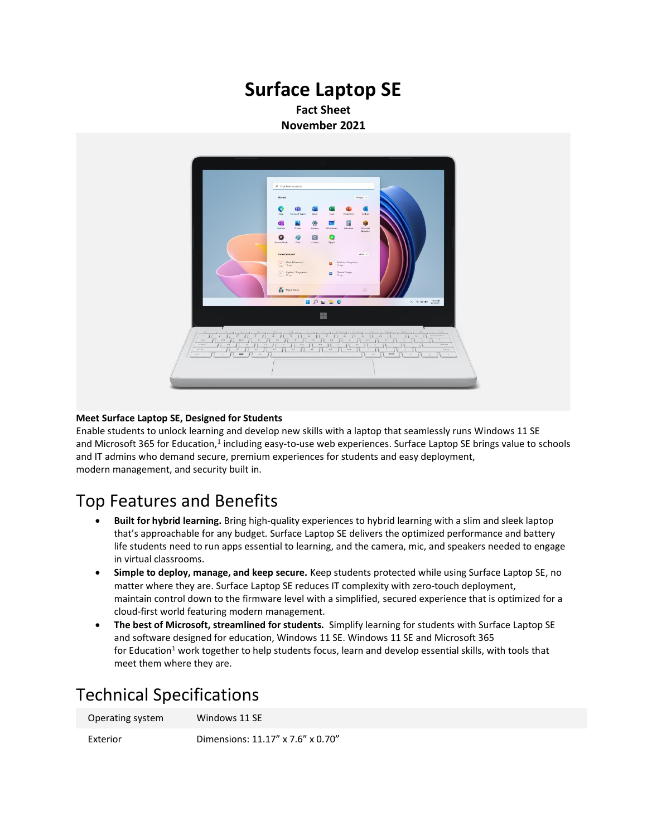### **Surface Laptop SE Fact Sheet November 2021**



### **Meet Surface Laptop SE, Designed for Students**

Enable students to unlock learning and develop new skills with a laptop that seamlessly runs Windows 11 SE and Microsoft 365 for Education,<sup>1</sup> including easy-to-use web experiences. Surface Laptop SE brings value to schools and IT admins who demand secure, premium experiences for students and easy deployment, modern management, and security built in.

### Top Features and Benefits

- **Built for hybrid learning.** Bring high-quality experiences to hybrid learning with a slim and sleek laptop that's approachable for any budget. Surface Laptop SE delivers the optimized performance and battery life students need to run apps essential to learning, and the camera, mic, and speakers needed to engage in virtual classrooms.
- **Simple to deploy, manage, and keep secure.** Keep students protected while using Surface Laptop SE, no matter where they are. Surface Laptop SE reduces IT complexity with zero-touch deployment, maintain control down to the firmware level with a simplified, secured experience that is optimized for a cloud-first world featuring modern management.
- **The best of Microsoft, streamlined for students.** Simplify learning for students with Surface Laptop SE and software designed for education, Windows 11 SE. Windows 11 SE and Microsoft 365 for Education<sup>1</sup> work together to help students focus, learn and develop essential skills, with tools that meet them where they are.

## Technical Specifications

| Operating system | Windows 11 SE |
|------------------|---------------|
|                  |               |

Exterior Dimensions: 11.17" x 7.6" x 0.70"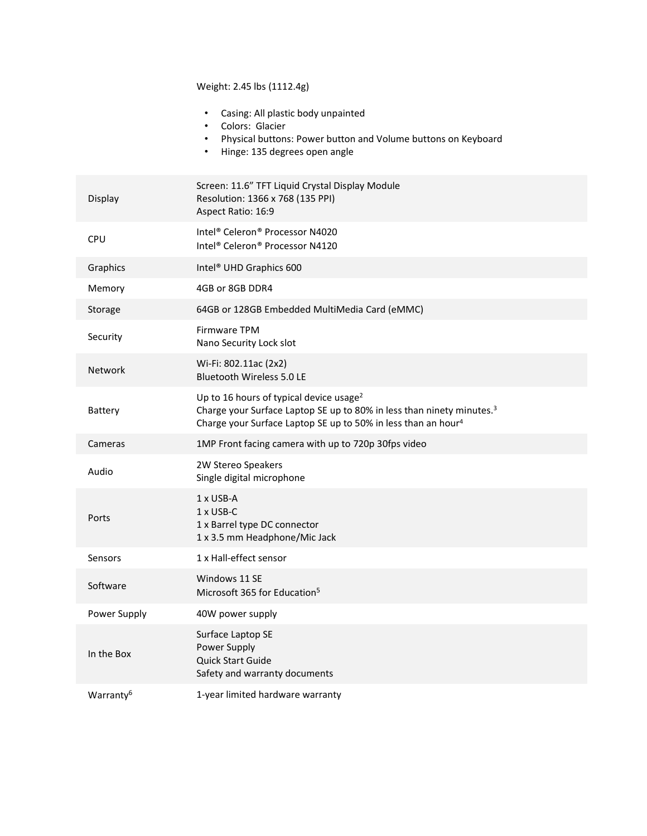Weight: 2.45 lbs (1112.4g)

|                       | Casing: All plastic body unpainted<br>Colors: Glacier<br>Physical buttons: Power button and Volume buttons on Keyboard<br>Hinge: 135 degrees open angle<br>$\bullet$                                                  |
|-----------------------|-----------------------------------------------------------------------------------------------------------------------------------------------------------------------------------------------------------------------|
| Display               | Screen: 11.6" TFT Liquid Crystal Display Module<br>Resolution: 1366 x 768 (135 PPI)<br>Aspect Ratio: 16:9                                                                                                             |
| CPU                   | Intel® Celeron® Processor N4020<br>Intel® Celeron® Processor N4120                                                                                                                                                    |
| Graphics              | Intel <sup>®</sup> UHD Graphics 600                                                                                                                                                                                   |
| Memory                | 4GB or 8GB DDR4                                                                                                                                                                                                       |
| Storage               | 64GB or 128GB Embedded MultiMedia Card (eMMC)                                                                                                                                                                         |
| Security              | Firmware TPM<br>Nano Security Lock slot                                                                                                                                                                               |
| <b>Network</b>        | Wi-Fi: 802.11ac (2x2)<br><b>Bluetooth Wireless 5.0 LE</b>                                                                                                                                                             |
| Battery               | Up to 16 hours of typical device usage <sup>2</sup><br>Charge your Surface Laptop SE up to 80% in less than ninety minutes. <sup>3</sup><br>Charge your Surface Laptop SE up to 50% in less than an hour <sup>4</sup> |
| Cameras               | 1MP Front facing camera with up to 720p 30fps video                                                                                                                                                                   |
| Audio                 | 2W Stereo Speakers<br>Single digital microphone                                                                                                                                                                       |
| Ports                 | 1 x USB-A<br>1 x USB-C<br>1 x Barrel type DC connector<br>1 x 3.5 mm Headphone/Mic Jack                                                                                                                               |
| Sensors               | 1 x Hall-effect sensor                                                                                                                                                                                                |
| Software              | Windows 11 SE<br>Microsoft 365 for Education <sup>5</sup>                                                                                                                                                             |
| Power Supply          | 40W power supply                                                                                                                                                                                                      |
| In the Box            | Surface Laptop SE<br>Power Supply<br>Quick Start Guide<br>Safety and warranty documents                                                                                                                               |
| Warranty <sup>6</sup> | 1-year limited hardware warranty                                                                                                                                                                                      |